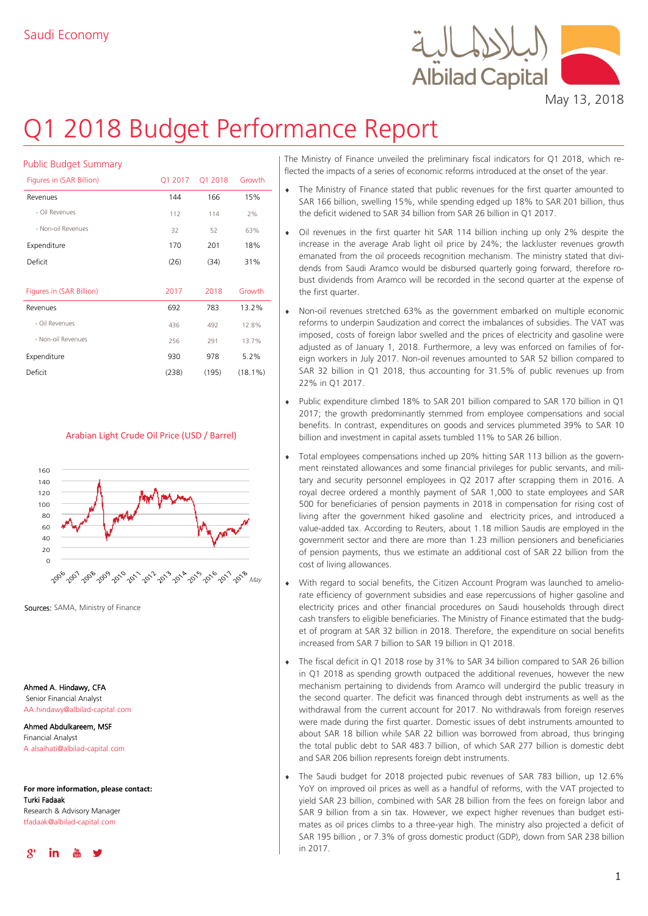

May 13, 2018

# Q1 2018 Budget Performance Report

| <b>Public Budget Summary</b> |              |         |            |  |
|------------------------------|--------------|---------|------------|--|
| Figures in (SAR Billion)     | Q1 2017      | Q1 2018 | Growth     |  |
| Revenues                     | 144          | 166     | 15%        |  |
| - Oil Revenues               | 112          | 114     | 7%         |  |
| - Non-oil Revenues           | 32           | 52      | 63%        |  |
| Expenditure                  | 170          | 201     | 18%        |  |
| Deficit                      | (26)<br>(34) |         | 31%        |  |
|                              |              |         |            |  |
| Figures in (SAR Billion)     | 2017         | 2018    | Growth     |  |
| Revenues                     | 692          | 783     | 13.2%      |  |
| - Oil Revenues               | 436          | 492     | 12.8%      |  |
| - Non-oil Revenues           | 256          | 291     | 13.7%      |  |
| Expenditure                  | 930          | 978     | 5.2%       |  |
| Deficit                      | (238)        | (195)   | $(18.1\%)$ |  |

## Arabian Light Crude Oil Price (USD / Barrel)



Sources: SAMA, Ministry of Finance

Ahmed A. Hindawy, CFA Senior Financial Analyst AA.hindawy@albilad-capital.com

Ahmed Abdulkareem, MSF Financial Analyst A.alsaihati@albilad-capital.com

**For more information, please contact:** Turki Fadaak Research & Advisory Manager tfadaak@albilad-capital.com



The Ministry of Finance unveiled the preliminary fiscal indicators for Q1 2018, which reflected the impacts of a series of economic reforms introduced at the onset of the year.

- The Ministry of Finance stated that public revenues for the first quarter amounted to SAR 166 billion, swelling 15%, while spending edged up 18% to SAR 201 billion, thus the deficit widened to SAR 34 billion from SAR 26 billion in Q1 2017.
- Oil revenues in the first quarter hit SAR 114 billion inching up only 2% despite the increase in the average Arab light oil price by 24%; the lackluster revenues growth emanated from the oil proceeds recognition mechanism. The ministry stated that dividends from Saudi Aramco would be disbursed quarterly going forward, therefore robust dividends from Aramco will be recorded in the second quarter at the expense of the first quarter.
- Non-oil revenues stretched 63% as the government embarked on multiple economic reforms to underpin Saudization and correct the imbalances of subsidies. The VAT was imposed, costs of foreign labor swelled and the prices of electricity and gasoline were adjusted as of January 1, 2018. Furthermore, a levy was enforced on families of foreign workers in July 2017. Non-oil revenues amounted to SAR 52 billion compared to SAR 32 billion in Q1 2018, thus accounting for 31.5% of public revenues up from 22% in Q1 2017.
- Public expenditure climbed 18% to SAR 201 billion compared to SAR 170 billion in Q1 2017; the growth predominantly stemmed from employee compensations and social benefits. In contrast, expenditures on goods and services plummeted 39% to SAR 10 billion and investment in capital assets tumbled 11% to SAR 26 billion.
- Total employees compensations inched up 20% hitting SAR 113 billion as the government reinstated allowances and some financial privileges for public servants, and military and security personnel employees in Q2 2017 after scrapping them in 2016. A royal decree ordered a monthly payment of SAR 1,000 to state employees and SAR 500 for beneficiaries of pension payments in 2018 in compensation for rising cost of living after the government hiked gasoline and electricity prices, and introduced a value-added tax. According to Reuters, about 1.18 million Saudis are employed in the government sector and there are more than 1.23 million pensioners and beneficiaries of pension payments, thus we estimate an additional cost of SAR 22 billion from the cost of living allowances.
- With regard to social benefits, the Citizen Account Program was launched to ameliorate efficiency of government subsidies and ease repercussions of higher gasoline and electricity prices and other financial procedures on Saudi households through direct cash transfers to eligible beneficiaries. The Ministry of Finance estimated that the budget of program at SAR 32 billion in 2018. Therefore, the expenditure on social benefits increased from SAR 7 billion to SAR 19 billion in Q1 2018.
- The fiscal deficit in Q1 2018 rose by 31% to SAR 34 billion compared to SAR 26 billion in Q1 2018 as spending growth outpaced the additional revenues, however the new mechanism pertaining to dividends from Aramco will undergird the public treasury in the second quarter. The deficit was financed through debt instruments as well as the withdrawal from the current account for 2017. No withdrawals from foreign reserves were made during the first quarter. Domestic issues of debt instruments amounted to about SAR 18 billion while SAR 22 billion was borrowed from abroad, thus bringing the total public debt to SAR 483.7 billion, of which SAR 277 billion is domestic debt and SAR 206 billion represents foreign debt instruments.
- The Saudi budget for 2018 projected pubic revenues of SAR 783 billion, up 12.6% YoY on improved oil prices as well as a handful of reforms, with the VAT projected to yield SAR 23 billion, combined with SAR 28 billion from the fees on foreign labor and SAR 9 billion from a sin tax. However, we expect higher revenues than budget estimates as oil prices climbs to a three-year high. The ministry also projected a deficit of SAR 195 billion , or 7.3% of gross domestic product (GDP), down from SAR 238 billion in 2017.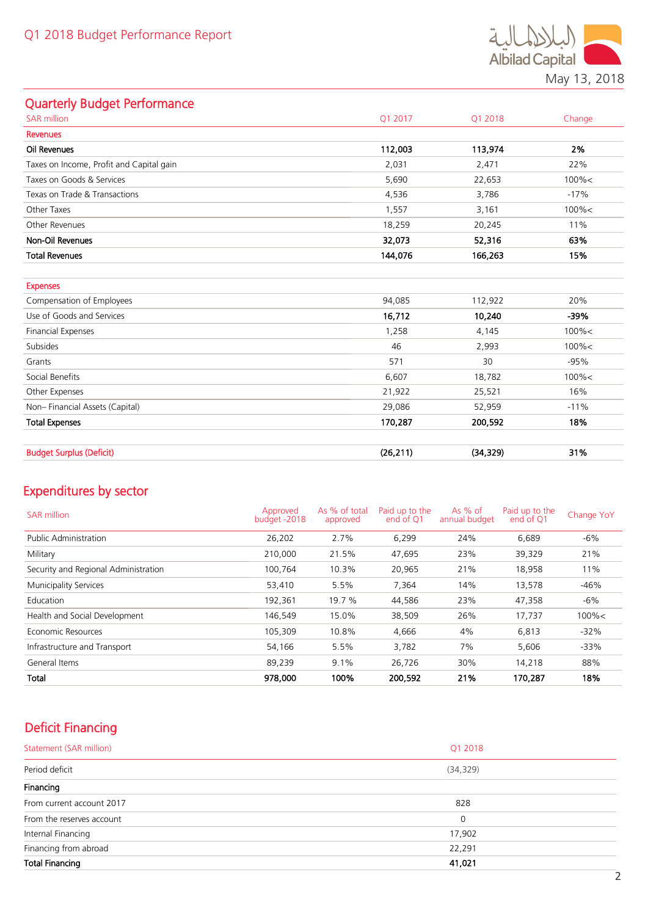

# Quarterly Budget Performance

| Q1 2017   | Q1 2018   | Change    |
|-----------|-----------|-----------|
|           |           |           |
| 112,003   | 113,974   | 2%        |
| 2,031     | 2,471     | 22%       |
| 5,690     | 22,653    | $100\% <$ |
| 4,536     | 3,786     | $-17%$    |
| 1,557     | 3,161     | $100\% <$ |
| 18,259    | 20,245    | 11%       |
| 32,073    | 52,316    | 63%       |
| 144,076   | 166,263   | 15%       |
|           |           |           |
|           |           |           |
| 94,085    | 112,922   | 20%       |
| 16,712    | 10,240    | -39%      |
| 1,258     | 4,145     | $100\% <$ |
| 46        | 2,993     | $100\% <$ |
| 571       | 30        | $-95%$    |
| 6,607     | 18,782    | $100\% <$ |
| 21,922    | 25,521    | 16%       |
| 29,086    | 52,959    | $-11%$    |
| 170,287   | 200,592   | 18%       |
|           |           |           |
| (26, 211) | (34, 329) | 31%       |
|           |           |           |

# Expenditures by sector

| <b>SAR million</b>                   | Approved<br>budget -2018 | As % of total<br>approved | Paid up to the<br>end of O1 | As $%$ of<br>annual budget | Paid up to the<br>end of O1 | Change YoY |
|--------------------------------------|--------------------------|---------------------------|-----------------------------|----------------------------|-----------------------------|------------|
| <b>Public Administration</b>         | 26,202                   | 2.7%                      | 6,299                       | 24%                        | 6,689                       | $-6\%$     |
| Military                             | 210,000                  | 21.5%                     | 47,695                      | 23%                        | 39,329                      | 21%        |
| Security and Regional Administration | 100.764                  | 10.3%                     | 20,965                      | 21%                        | 18,958                      | 11%        |
| <b>Municipality Services</b>         | 53,410                   | 5.5%                      | 7,364                       | 14%                        | 13,578                      | $-46%$     |
| Education                            | 192,361                  | 19.7 %                    | 44,586                      | 23%                        | 47,358                      | -6%        |
| Health and Social Development        | 146,549                  | 15.0%                     | 38,509                      | 26%                        | 17,737                      | $100\% <$  |
| Economic Resources                   | 105,309                  | 10.8%                     | 4,666                       | 4%                         | 6,813                       | $-32%$     |
| Infrastructure and Transport         | 54,166                   | 5.5%                      | 3,782                       | 7%                         | 5,606                       | $-33%$     |
| General Items                        | 89,239                   | 9.1%                      | 26,726                      | 30%                        | 14,218                      | 88%        |
| Total                                | 978,000                  | 100%                      | 200,592                     | 21%                        | 170,287                     | 18%        |

# Deficit Financing

| Statement (SAR million)   | Q1 2018   |
|---------------------------|-----------|
| Period deficit            | (34, 329) |
| Financing                 |           |
| From current account 2017 | 828       |
| From the reserves account | $\Omega$  |
| Internal Financing        | 17,902    |
| Financing from abroad     | 22,291    |
| <b>Total Financing</b>    | 41,021    |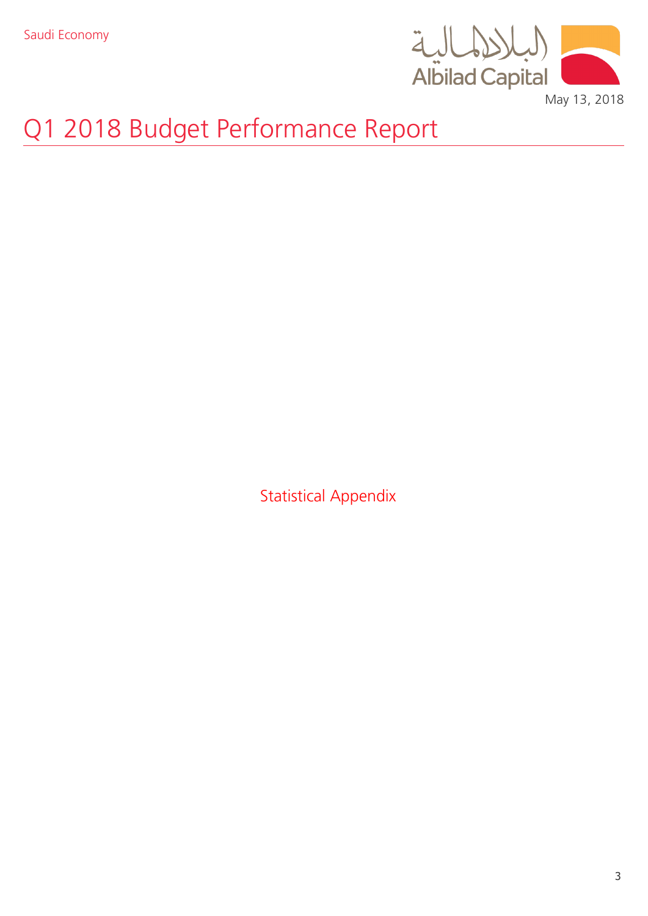

May 13, 2018

# Q1 2018 Budget Performance Report

Statistical Appendix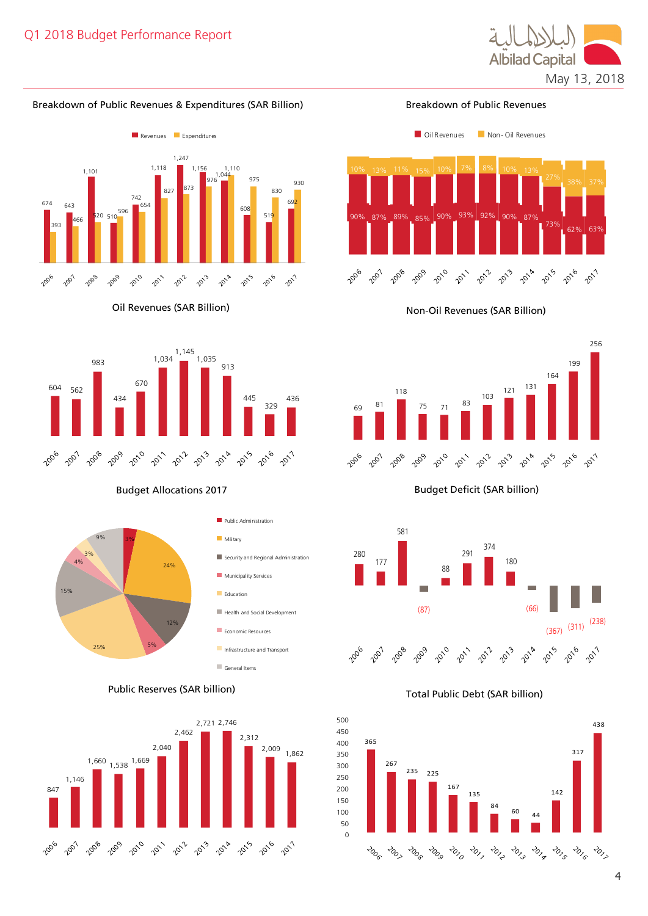

# Breakdown of Public Revenues & Expenditures (SAR Billion)



Oil Revenues (SAR Billion)





Public Reserves (SAR billion) Total Public Debt (SAR billion)



Breakdown of Public Revenues







# Budget Allocations 2017 **Budget Deficit (SAR billion)**



365

267

2006 2005 2008

235 225

167

135  $\frac{84}{1}$ 

200 201 201 201 2013

 $\begin{array}{@{}c@{\hspace{1em}}c@{\hspace{1em}}}\n 60 & 44 \\
\hline\n \end{array}$ 

 $\overrightarrow{c}_{\mathcal{O}_{\mathbb{Z}}^{1}}$ 

142

2015-2016

317

438

2017

4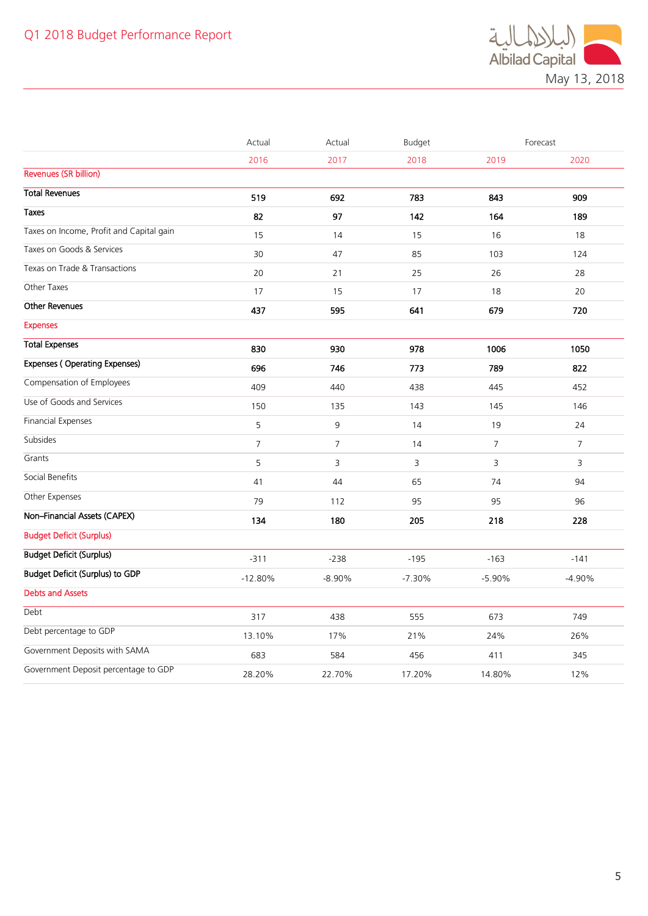

|                                          | Actual         | Actual         | Budget   |                | Forecast       |
|------------------------------------------|----------------|----------------|----------|----------------|----------------|
|                                          | 2016           | 2017           | 2018     | 2019           | 2020           |
| <b>Revenues (SR billion)</b>             |                |                |          |                |                |
| <b>Total Revenues</b>                    | 519            | 692            | 783      | 843            | 909            |
| <b>Taxes</b>                             | 82             | 97             | 142      | 164            | 189            |
| Taxes on Income, Profit and Capital gain | 15             | 14             | 15       | 16             | 18             |
| Taxes on Goods & Services                | 30             | 47             | 85       | 103            | 124            |
| Texas on Trade & Transactions            | 20             | 21             | 25       | 26             | 28             |
| Other Taxes                              | 17             | 15             | 17       | 18             | 20             |
| <b>Other Revenues</b>                    | 437            | 595            | 641      | 679            | 720            |
| <b>Expenses</b>                          |                |                |          |                |                |
| <b>Total Expenses</b>                    | 830            | 930            | 978      | 1006           | 1050           |
| <b>Expenses (Operating Expenses)</b>     | 696            | 746            | 773      | 789            | 822            |
| Compensation of Employees                | 409            | 440            | 438      | 445            | 452            |
| Use of Goods and Services                | 150            | 135            | 143      | 145            | 146            |
| <b>Financial Expenses</b>                | 5              | 9              | 14       | 19             | 24             |
| Subsides                                 | $\overline{7}$ | $\overline{7}$ | 14       | $\overline{7}$ | $\overline{7}$ |
| Grants                                   | 5              | 3              | 3        | 3              | $\overline{3}$ |
| Social Benefits                          | 41             | 44             | 65       | 74             | 94             |
| Other Expenses                           | 79             | 112            | 95       | 95             | 96             |
| Non-Financial Assets (CAPEX)             | 134            | 180            | 205      | 218            | 228            |
| <b>Budget Deficit (Surplus)</b>          |                |                |          |                |                |
| <b>Budget Deficit (Surplus)</b>          | $-311$         | $-238$         | $-195$   | $-163$         | $-141$         |
| <b>Budget Deficit (Surplus) to GDP</b>   | $-12.80%$      | $-8.90%$       | $-7.30%$ | $-5.90%$       | $-4.90%$       |
| <b>Debts and Assets</b>                  |                |                |          |                |                |
| Debt                                     | 317            | 438            | 555      | 673            | 749            |
| Debt percentage to GDP                   | 13.10%         | 17%            | 21%      | 24%            | 26%            |
| Government Deposits with SAMA            | 683            | 584            | 456      | 411            | 345            |
| Government Deposit percentage to GDP     | 28.20%         | 22.70%         | 17.20%   | 14.80%         | 12%            |